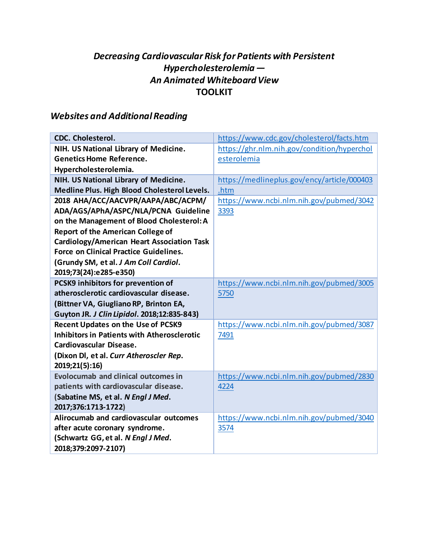## *Decreasing Cardiovascular Risk for Patients with Persistent Hypercholesterolemia — An Animated Whiteboard View* **TOOLKIT**

## *Websites and Additional Reading*

| <b>CDC. Cholesterol.</b>                           | https://www.cdc.gov/cholesterol/facts.htm   |
|----------------------------------------------------|---------------------------------------------|
| NIH. US National Library of Medicine.              | https://ghr.nlm.nih.gov/condition/hyperchol |
| <b>Genetics Home Reference.</b>                    | esterolemia                                 |
| Hypercholesterolemia.                              |                                             |
| NIH. US National Library of Medicine.              | https://medlineplus.gov/ency/article/000403 |
| Medline Plus. High Blood Cholesterol Levels.       | .htm                                        |
| 2018 AHA/ACC/AACVPR/AAPA/ABC/ACPM/                 | https://www.ncbi.nlm.nih.gov/pubmed/3042    |
| ADA/AGS/APhA/ASPC/NLA/PCNA Guideline               | 3393                                        |
| on the Management of Blood Cholesterol: A          |                                             |
| <b>Report of the American College of</b>           |                                             |
| <b>Cardiology/American Heart Association Task</b>  |                                             |
| <b>Force on Clinical Practice Guidelines.</b>      |                                             |
| (Grundy SM, et al. J Am Coll Cardiol.              |                                             |
| 2019;73(24):e285-e350)                             |                                             |
| PCSK9 inhibitors for prevention of                 | https://www.ncbi.nlm.nih.gov/pubmed/3005    |
| atherosclerotic cardiovascular disease.            | 5750                                        |
| (Bittner VA, Giugliano RP, Brinton EA,             |                                             |
| Guyton JR. J Clin Lipidol. 2018;12:835-843)        |                                             |
| <b>Recent Updates on the Use of PCSK9</b>          | https://www.ncbi.nlm.nih.gov/pubmed/3087    |
| <b>Inhibitors in Patients with Atherosclerotic</b> | 7491                                        |
| Cardiovascular Disease.                            |                                             |
| (Dixon Dl, et al. Curr Atheroscler Rep.            |                                             |
| 2019;21(5):16)                                     |                                             |
| <b>Evolocumab and clinical outcomes in</b>         | https://www.ncbi.nlm.nih.gov/pubmed/2830    |
| patients with cardiovascular disease.              | 4224                                        |
| (Sabatine MS, et al. N Engl J Med.                 |                                             |
| 2017;376:1713-1722)                                |                                             |
| Alirocumab and cardiovascular outcomes             | https://www.ncbi.nlm.nih.gov/pubmed/3040    |
| after acute coronary syndrome.                     | 3574                                        |
| (Schwartz GG, et al. N Engl J Med.                 |                                             |
| 2018;379:2097-2107)                                |                                             |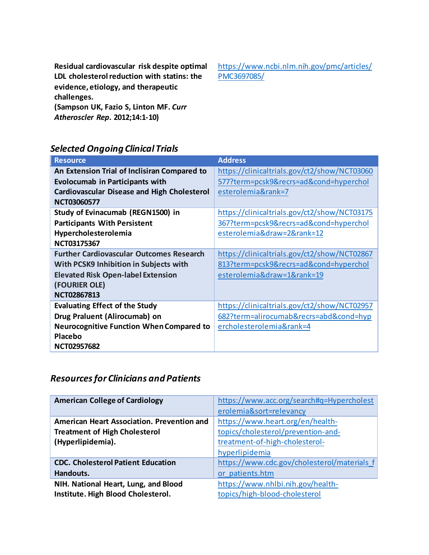**Residual cardiovascular risk despite optimal LDL cholesterol reduction with statins: the evidence, etiology, and therapeutic challenges. (Sampson UK, Fazio S, Linton MF.** *Curr Atheroscler Rep***. 2012;14:1-10)**

[https://www.ncbi.nlm.nih.gov/pmc/articles/](https://www.ncbi.nlm.nih.gov/pmc/articles/PMC3697085/) [PMC3697085/](https://www.ncbi.nlm.nih.gov/pmc/articles/PMC3697085/)

## *Selected Ongoing Clinical Trials*

| <b>Resource</b>                                    | <b>Address</b>                               |
|----------------------------------------------------|----------------------------------------------|
| An Extension Trial of Inclisiran Compared to       | https://clinicaltrials.gov/ct2/show/NCT03060 |
| <b>Evolocumab in Participants with</b>             | 577?term=pcsk9&recrs=ad&cond=hyperchol       |
| <b>Cardiovascular Disease and High Cholesterol</b> | esterolemia&rank=7                           |
| <b>NCT03060577</b>                                 |                                              |
| Study of Evinacumab (REGN1500) in                  | https://clinicaltrials.gov/ct2/show/NCT03175 |
| <b>Participants With Persistent</b>                | 367?term=pcsk9&recrs=ad&cond=hyperchol       |
| Hypercholesterolemia                               | esterolemia&draw=2&rank=12                   |
| NCT03175367                                        |                                              |
| <b>Further Cardiovascular Outcomes Research</b>    | https://clinicaltrials.gov/ct2/show/NCT02867 |
| With PCSK9 Inhibition in Subjects with             | 813?term=pcsk9&recrs=ad&cond=hyperchol       |
| <b>Elevated Risk Open-label Extension</b>          | esterolemia&draw=1&rank=19                   |
| (FOURIER OLE)                                      |                                              |
| <b>NCT02867813</b>                                 |                                              |
| <b>Evaluating Effect of the Study</b>              | https://clinicaltrials.gov/ct2/show/NCT02957 |
| Drug Praluent (Alirocumab) on                      | 682?term=alirocumab&recrs=abd&cond=hyp       |
| <b>Neurocognitive Function When Compared to</b>    | ercholesterolemia&rank=4                     |
| Placebo                                            |                                              |
| <b>NCT02957682</b>                                 |                                              |

## *Resources for Clinicians and Patients*

| <b>American College of Cardiology</b>      | https://www.acc.org/search#q=Hypercholest   |
|--------------------------------------------|---------------------------------------------|
|                                            | erolemia&sort=relevancy                     |
| American Heart Association. Prevention and | https://www.heart.org/en/health-            |
| <b>Treatment of High Cholesterol</b>       | topics/cholesterol/prevention-and-          |
| (Hyperlipidemia).                          | treatment-of-high-cholesterol-              |
|                                            | hyperlipidemia                              |
| <b>CDC. Cholesterol Patient Education</b>  | https://www.cdc.gov/cholesterol/materials f |
| Handouts.                                  | or patients.htm                             |
| NIH. National Heart, Lung, and Blood       | https://www.nhlbi.nih.gov/health-           |
| Institute. High Blood Cholesterol.         | topics/high-blood-cholesterol               |